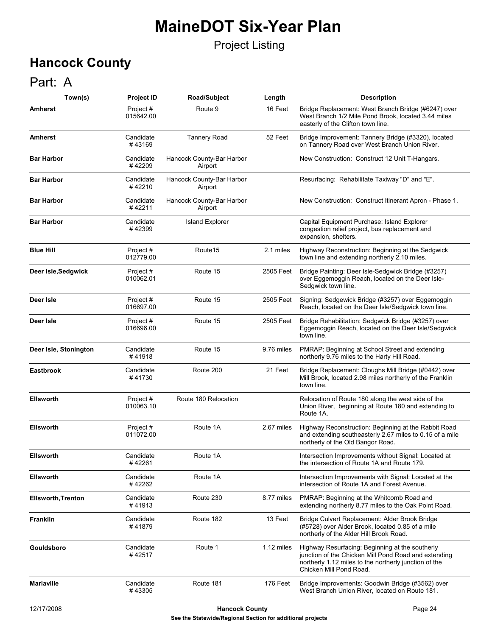#### Project Listing

## **Hancock County**

### Part: A

| Town(s)                   | <b>Project ID</b>      | <b>Road/Subject</b>                  | Length     | <b>Description</b>                                                                                                                                                                          |
|---------------------------|------------------------|--------------------------------------|------------|---------------------------------------------------------------------------------------------------------------------------------------------------------------------------------------------|
| <b>Amherst</b>            | Project#<br>015642.00  | Route 9                              | 16 Feet    | Bridge Replacement: West Branch Bridge (#6247) over<br>West Branch 1/2 Mile Pond Brook, located 3.44 miles<br>easterly of the Clifton town line.                                            |
| <b>Amherst</b>            | Candidate<br>#43169    | <b>Tannery Road</b>                  | 52 Feet    | Bridge Improvement: Tannery Bridge (#3320), located<br>on Tannery Road over West Branch Union River.                                                                                        |
| <b>Bar Harbor</b>         | Candidate<br>#42209    | Hancock County-Bar Harbor<br>Airport |            | New Construction: Construct 12 Unit T-Hangars.                                                                                                                                              |
| <b>Bar Harbor</b>         | Candidate<br>#42210    | Hancock County-Bar Harbor<br>Airport |            | Resurfacing: Rehabilitate Taxiway "D" and "E".                                                                                                                                              |
| <b>Bar Harbor</b>         | Candidate<br>#42211    | Hancock County-Bar Harbor<br>Airport |            | New Construction: Construct Itinerant Apron - Phase 1.                                                                                                                                      |
| <b>Bar Harbor</b>         | Candidate<br>#42399    | <b>Island Explorer</b>               |            | Capital Equipment Purchase: Island Explorer<br>congestion relief project, bus replacement and<br>expansion, shelters.                                                                       |
| <b>Blue Hill</b>          | Project #<br>012779.00 | Route <sub>15</sub>                  | 2.1 miles  | Highway Reconstruction: Beginning at the Sedgwick<br>town line and extending northerly 2.10 miles.                                                                                          |
| Deer Isle, Sedgwick       | Project#<br>010062.01  | Route 15                             | 2505 Feet  | Bridge Painting: Deer Isle-Sedgwick Bridge (#3257)<br>over Eggemoggin Reach, located on the Deer Isle-<br>Sedgwick town line.                                                               |
| Deer Isle                 | Project#<br>016697.00  | Route 15                             | 2505 Feet  | Signing: Sedgewick Bridge (#3257) over Eggemoggin<br>Reach, located on the Deer Isle/Sedgwick town line.                                                                                    |
| Deer Isle                 | Project#<br>016696.00  | Route 15                             | 2505 Feet  | Bridge Rehabilitation: Sedgwick Bridge (#3257) over<br>Eggemoggin Reach, located on the Deer Isle/Sedgwick<br>town line.                                                                    |
| Deer Isle, Stonington     | Candidate<br>#41918    | Route 15                             | 9.76 miles | PMRAP: Beginning at School Street and extending<br>northerly 9.76 miles to the Harty Hill Road.                                                                                             |
| <b>Eastbrook</b>          | Candidate<br>#41730    | Route 200                            | 21 Feet    | Bridge Replacement: Cloughs Mill Bridge (#0442) over<br>Mill Brook, located 2.98 miles northerly of the Franklin<br>town line.                                                              |
| <b>Ellsworth</b>          | Project#<br>010063.10  | Route 180 Relocation                 |            | Relocation of Route 180 along the west side of the<br>Union River, beginning at Route 180 and extending to<br>Route 1A.                                                                     |
| <b>Ellsworth</b>          | Project#<br>011072.00  | Route 1A                             | 2.67 miles | Highway Reconstruction: Beginning at the Rabbit Road<br>and extending southeasterly 2.67 miles to 0.15 of a mile<br>northerly of the Old Bangor Road.                                       |
| <b>Ellsworth</b>          | Candidate<br>#42261    | Route 1A                             |            | Intersection Improvements without Signal: Located at<br>the intersection of Route 1A and Route 179.                                                                                         |
| <b>Ellsworth</b>          | Candidate<br>#42262    | Route 1A                             |            | Intersection Improvements with Signal: Located at the<br>intersection of Route 1A and Forest Avenue.                                                                                        |
| <b>Ellsworth, Trenton</b> | Candidate<br>#41913    | Route 230                            | 8.77 miles | PMRAP: Beginning at the Whitcomb Road and<br>extending northerly 8.77 miles to the Oak Point Road.                                                                                          |
| Franklin                  | Candidate<br>#41879    | Route 182                            | 13 Feet    | Bridge Culvert Replacement: Alder Brook Bridge<br>(#5728) over Alder Brook, located 0.85 of a mile<br>northerly of the Alder Hill Brook Road.                                               |
| Gouldsboro                | Candidate<br>#42517    | Route 1                              | 1.12 miles | Highway Resurfacing: Beginning at the southerly<br>junction of the Chicken Mill Pond Road and extending<br>northerly 1.12 miles to the northerly junction of the<br>Chicken Mill Pond Road. |
| <b>Mariaville</b>         | Candidate<br>#43305    | Route 181                            | 176 Feet   | Bridge Improvements: Goodwin Bridge (#3562) over<br>West Branch Union River, located on Route 181.                                                                                          |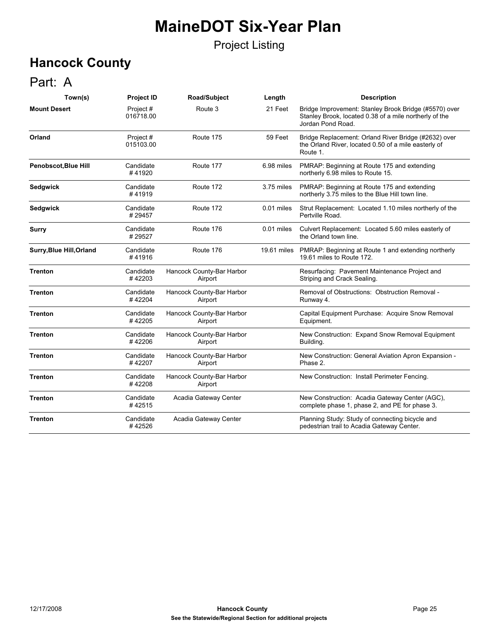#### Project Listing

## **Hancock County**

### Part: A

| Town(s)                         | <b>Project ID</b>      | Road/Subject                         | Length      | <b>Description</b>                                                                                                                   |
|---------------------------------|------------------------|--------------------------------------|-------------|--------------------------------------------------------------------------------------------------------------------------------------|
| <b>Mount Desert</b>             | Project #<br>016718.00 | Route 3                              | 21 Feet     | Bridge Improvement: Stanley Brook Bridge (#5570) over<br>Stanley Brook, located 0.38 of a mile northerly of the<br>Jordan Pond Road. |
| Orland                          | Project#<br>015103.00  | Route 175                            | 59 Feet     | Bridge Replacement: Orland River Bridge (#2632) over<br>the Orland River, located 0.50 of a mile easterly of<br>Route 1.             |
| Penobscot, Blue Hill            | Candidate<br>#41920    | Route 177                            | 6.98 miles  | PMRAP: Beginning at Route 175 and extending<br>northerly 6.98 miles to Route 15.                                                     |
| <b>Sedgwick</b>                 | Candidate<br>#41919    | Route 172                            | 3.75 miles  | PMRAP: Beginning at Route 175 and extending<br>northerly 3.75 miles to the Blue Hill town line.                                      |
| Sedgwick                        | Candidate<br>#29457    | Route 172                            | 0.01 miles  | Strut Replacement: Located 1.10 miles northerly of the<br>Pertville Road.                                                            |
| <b>Surry</b>                    | Candidate<br>#29527    | Route 176                            | 0.01 miles  | Culvert Replacement: Located 5.60 miles easterly of<br>the Orland town line.                                                         |
| <b>Surry, Blue Hill, Orland</b> | Candidate<br>#41916    | Route 176                            | 19.61 miles | PMRAP: Beginning at Route 1 and extending northerly<br>19.61 miles to Route 172.                                                     |
| <b>Trenton</b>                  | Candidate<br>#42203    | Hancock County-Bar Harbor<br>Airport |             | Resurfacing: Pavement Maintenance Project and<br>Striping and Crack Sealing.                                                         |
| <b>Trenton</b>                  | Candidate<br>#42204    | Hancock County-Bar Harbor<br>Airport |             | Removal of Obstructions: Obstruction Removal -<br>Runway 4.                                                                          |
| <b>Trenton</b>                  | Candidate<br>#42205    | Hancock County-Bar Harbor<br>Airport |             | Capital Equipment Purchase: Acquire Snow Removal<br>Equipment.                                                                       |
| <b>Trenton</b>                  | Candidate<br>#42206    | Hancock County-Bar Harbor<br>Airport |             | New Construction: Expand Snow Removal Equipment<br>Building.                                                                         |
| <b>Trenton</b>                  | Candidate<br>#42207    | Hancock County-Bar Harbor<br>Airport |             | New Construction: General Aviation Apron Expansion -<br>Phase 2.                                                                     |
| <b>Trenton</b>                  | Candidate<br>#42208    | Hancock County-Bar Harbor<br>Airport |             | New Construction: Install Perimeter Fencing.                                                                                         |
| <b>Trenton</b>                  | Candidate<br>#42515    | Acadia Gateway Center                |             | New Construction: Acadia Gateway Center (AGC),<br>complete phase 1, phase 2, and PE for phase 3.                                     |
| <b>Trenton</b>                  | Candidate<br>#42526    | Acadia Gateway Center                |             | Planning Study: Study of connecting bicycle and<br>pedestrian trail to Acadia Gateway Center.                                        |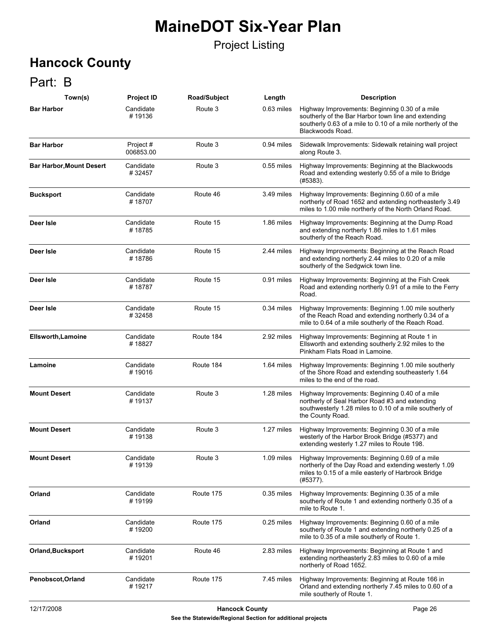#### Project Listing

## **Hancock County**

### Part: B

| Town(s)                         | <b>Project ID</b>     | Road/Subject | Length       | <b>Description</b>                                                                                                                                                                       |
|---------------------------------|-----------------------|--------------|--------------|------------------------------------------------------------------------------------------------------------------------------------------------------------------------------------------|
| <b>Bar Harbor</b>               | Candidate<br>#19136   | Route 3      | 0.63 miles   | Highway Improvements: Beginning 0.30 of a mile<br>southerly of the Bar Harbor town line and extending<br>southerly 0.63 of a mile to 0.10 of a mile northerly of the<br>Blackwoods Road. |
| <b>Bar Harbor</b>               | Project#<br>006853.00 | Route 3      | 0.94 miles   | Sidewalk Improvements: Sidewalk retaining wall project<br>along Route 3.                                                                                                                 |
| <b>Bar Harbor, Mount Desert</b> | Candidate<br>#32457   | Route 3      | $0.55$ miles | Highway Improvements: Beginning at the Blackwoods<br>Road and extending westerly 0.55 of a mile to Bridge<br>(H5383).                                                                    |
| <b>Bucksport</b>                | Candidate<br>#18707   | Route 46     | 3.49 miles   | Highway Improvements: Beginning 0.60 of a mile<br>northerly of Road 1652 and extending northeasterly 3.49<br>miles to 1.00 mile northerly of the North Orland Road.                      |
| Deer Isle                       | Candidate<br>#18785   | Route 15     | 1.86 miles   | Highway Improvements: Beginning at the Dump Road<br>and extending northerly 1.86 miles to 1.61 miles<br>southerly of the Reach Road.                                                     |
| Deer Isle                       | Candidate<br>#18786   | Route 15     | 2.44 miles   | Highway Improvements: Beginning at the Reach Road<br>and extending northerly 2.44 miles to 0.20 of a mile<br>southerly of the Sedgwick town line.                                        |
| Deer Isle                       | Candidate<br>#18787   | Route 15     | 0.91 miles   | Highway Improvements: Beginning at the Fish Creek<br>Road and extending northerly 0.91 of a mile to the Ferry<br>Road.                                                                   |
| Deer Isle                       | Candidate<br>#32458   | Route 15     | 0.34 miles   | Highway Improvements: Beginning 1.00 mile southerly<br>of the Reach Road and extending northerly 0.34 of a<br>mile to 0.64 of a mile southerly of the Reach Road.                        |
| <b>Ellsworth, Lamoine</b>       | Candidate<br>#18827   | Route 184    | 2.92 miles   | Highway Improvements: Beginning at Route 1 in<br>Ellsworth and extending southerly 2.92 miles to the<br>Pinkham Flats Road in Lamoine.                                                   |
| Lamoine                         | Candidate<br>#19016   | Route 184    | 1.64 miles   | Highway Improvements: Beginning 1.00 mile southerly<br>of the Shore Road and extending southeasterly 1.64<br>miles to the end of the road.                                               |
| <b>Mount Desert</b>             | Candidate<br>#19137   | Route 3      | 1.28 miles   | Highway Improvements: Beginning 0.40 of a mile<br>northerly of Seal Harbor Road #3 and extending<br>southwesterly 1.28 miles to 0.10 of a mile southerly of<br>the County Road.          |
| <b>Mount Desert</b>             | Candidate<br>#19138   | Route 3      | 1.27 miles   | Highway Improvements: Beginning 0.30 of a mile<br>westerly of the Harbor Brook Bridge (#5377) and<br>extending westerly 1.27 miles to Route 198.                                         |
| <b>Mount Desert</b>             | Candidate<br>#19139   | Route 3      | 1.09 miles   | Highway Improvements: Beginning 0.69 of a mile<br>northerly of the Day Road and extending westerly 1.09<br>miles to 0.15 of a mile easterly of Harbrook Bridge<br>(#5377).               |
| Orland                          | Candidate<br>#19199   | Route 175    | 0.35 miles   | Highway Improvements: Beginning 0.35 of a mile<br>southerly of Route 1 and extending northerly 0.35 of a<br>mile to Route 1.                                                             |
| Orland                          | Candidate<br>#19200   | Route 175    | 0.25 miles   | Highway Improvements: Beginning 0.60 of a mile<br>southerly of Route 1 and extending northerly 0.25 of a<br>mile to 0.35 of a mile southerly of Route 1.                                 |
| <b>Orland, Bucksport</b>        | Candidate<br>#19201   | Route 46     | 2.83 miles   | Highway Improvements: Beginning at Route 1 and<br>extending northeasterly 2.83 miles to 0.60 of a mile<br>northerly of Road 1652.                                                        |
| Penobscot, Orland               | Candidate<br>#19217   | Route 175    | 7.45 miles   | Highway Improvements: Beginning at Route 166 in<br>Orland and extending northerly 7.45 miles to 0.60 of a<br>mile southerly of Route 1.                                                  |